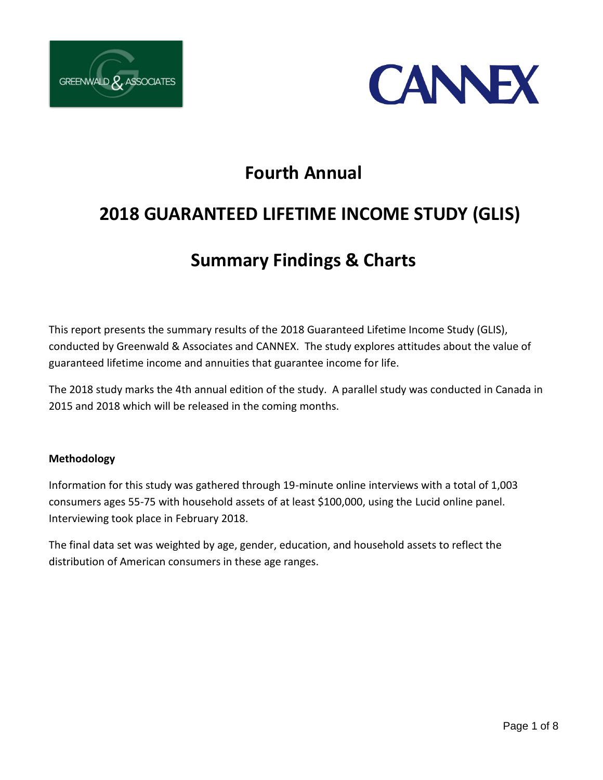



# **Fourth Annual**

# **2018 GUARANTEED LIFETIME INCOME STUDY (GLIS)**

# **Summary Findings & Charts**

This report presents the summary results of the 2018 Guaranteed Lifetime Income Study (GLIS), conducted by Greenwald & Associates and CANNEX. The study explores attitudes about the value of guaranteed lifetime income and annuities that guarantee income for life.

The 2018 study marks the 4th annual edition of the study. A parallel study was conducted in Canada in 2015 and 2018 which will be released in the coming months.

#### **Methodology**

Information for this study was gathered through 19-minute online interviews with a total of 1,003 consumers ages 55-75 with household assets of at least \$100,000, using the Lucid online panel. Interviewing took place in February 2018.

The final data set was weighted by age, gender, education, and household assets to reflect the distribution of American consumers in these age ranges.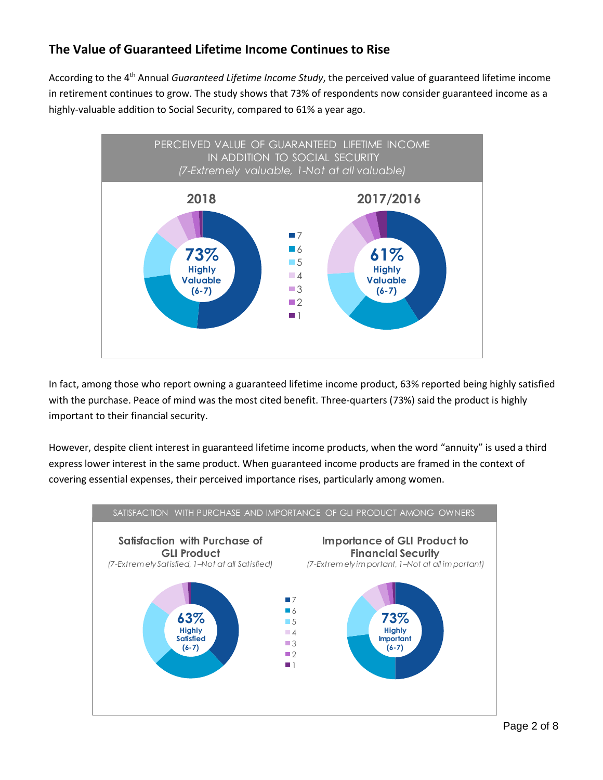## **The Value of Guaranteed Lifetime Income Continues to Rise**

According to the 4<sup>th</sup> Annual *Guaranteed Lifetime Income Study*, the perceived value of guaranteed lifetime income in retirement continues to grow. The study shows that 73% of respondents now consider guaranteed income as a highly-valuable addition to Social Security, compared to 61% a year ago.



In fact, among those who report owning a guaranteed lifetime income product, 63% reported being highly satisfied with the purchase. Peace of mind was the most cited benefit. Three-quarters (73%) said the product is highly important to their financial security.

However, despite client interest in guaranteed lifetime income products, when the word "annuity" is used a third express lower interest in the same product. When guaranteed income products are framed in the context of covering essential expenses, their perceived importance rises, particularly among women.

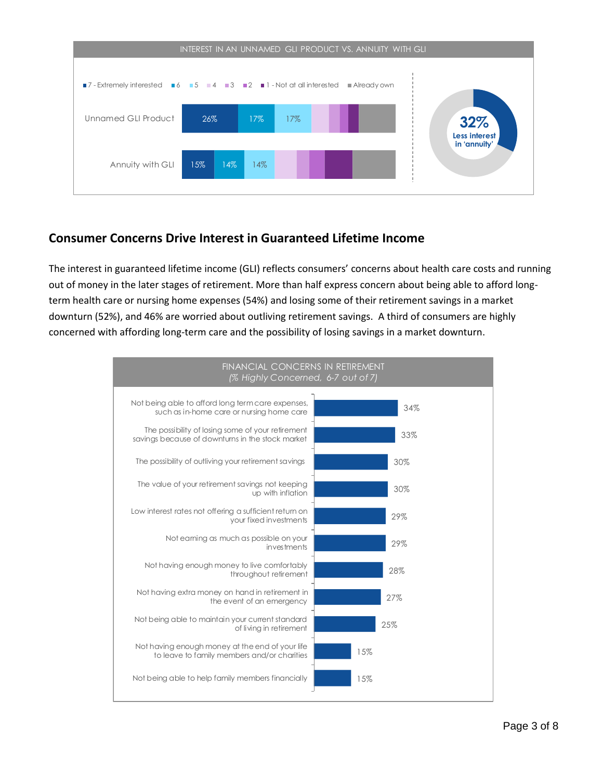

#### **Consumer Concerns Drive Interest in Guaranteed Lifetime Income**

The interest in guaranteed lifetime income (GLI) reflects consumers' concerns about health care costs and running out of money in the later stages of retirement. More than half express concern about being able to afford longterm health care or nursing home expenses (54%) and losing some of their retirement savings in a market downturn (52%), and 46% are worried about outliving retirement savings. A third of consumers are highly concerned with affording long-term care and the possibility of losing savings in a market downturn.

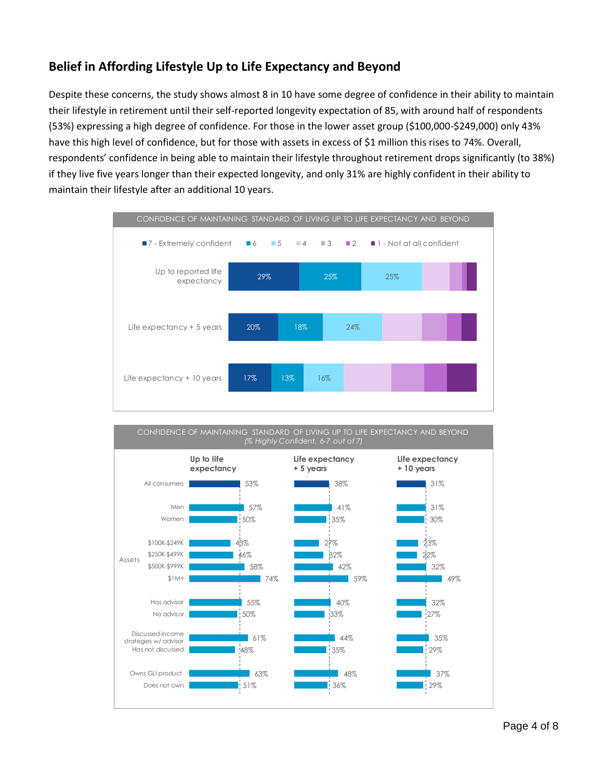## **Belief in Affording Lifestyle Up to Life Expectancy and Beyond**

Despite these concerns, the study shows almost 8 in 10 have some degree of confidence in their ability to maintain their lifestyle in retirement until their self-reported longevity expectation of 85, with around half of respondents (53%) expressing a high degree of confidence. For those in the lower asset group (\$100,000-\$249,000) only 43% have this high level of confidence, but for those with assets in excess of \$1 million this rises to 74%. Overall, respondents' confidence in being able to maintain their lifestyle throughout retirement drops significantly (to 38%) if they live five years longer than their expected longevity, and only 31% are highly confident in their ability to maintain their lifestyle after an additional 10 years.



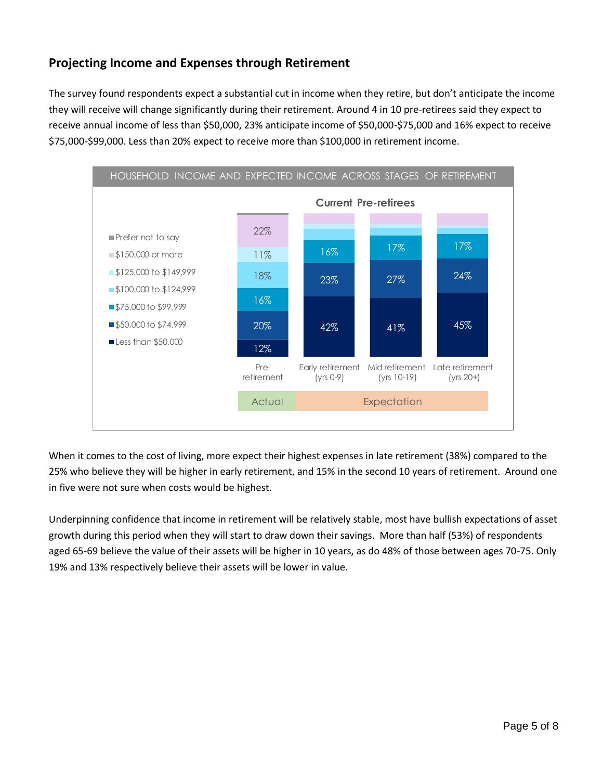## **Projecting Income and Expenses through Retirement**

The survey found respondents expect a substantial cut in income when they retire, but don't anticipate the income they will receive will change significantly during their retirement. Around 4 in 10 pre-retirees said they expect to receive annual income of less than \$50,000, 23% anticipate income of \$50,000-\$75,000 and 16% expect to receive \$75,000-\$99,000. Less than 20% expect to receive more than \$100,000 in retirement income.



When it comes to the cost of living, more expect their highest expenses in late retirement (38%) compared to the 25% who believe they will be higher in early retirement, and 15% in the second 10 years of retirement. Around one in five were not sure when costs would be highest.

Underpinning confidence that income in retirement will be relatively stable, most have bullish expectations of asset growth during this period when they will start to draw down their savings. More than half (53%) of respondents aged 65-69 believe the value of their assets will be higher in 10 years, as do 48% of those between ages 70-75. Only 19% and 13% respectively believe their assets will be lower in value.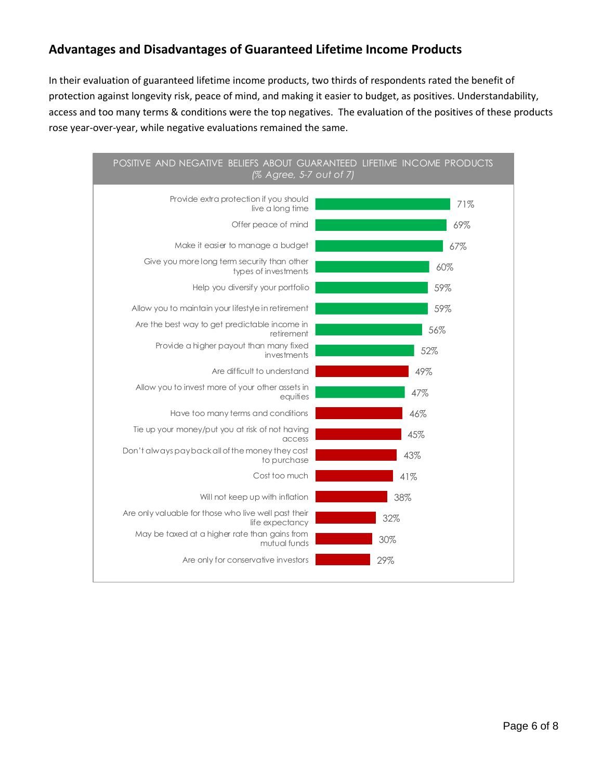### **Advantages and Disadvantages of Guaranteed Lifetime Income Products**

In their evaluation of guaranteed lifetime income products, two thirds of respondents rated the benefit of protection against longevity risk, peace of mind, and making it easier to budget, as positives. Understandability, access and too many terms & conditions were the top negatives. The evaluation of the positives of these products rose year-over-year, while negative evaluations remained the same.

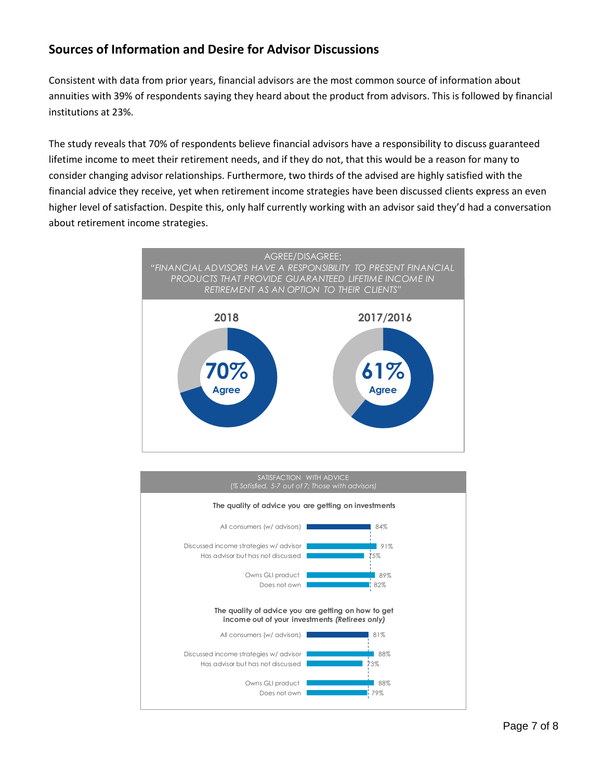### **Sources of Information and Desire for Advisor Discussions**

Consistent with data from prior years, financial advisors are the most common source of information about annuities with 39% of respondents saying they heard about the product from advisors. This is followed by financial institutions at 23%.

The study reveals that 70% of respondents believe financial advisors have a responsibility to discuss guaranteed lifetime income to meet their retirement needs, and if they do not, that this would be a reason for many to consider changing advisor relationships. Furthermore, two thirds of the advised are highly satisfied with the financial advice they receive, yet when retirement income strategies have been discussed clients express an even higher level of satisfaction. Despite this, only half currently working with an advisor said they'd had a conversation about retirement income strategies.